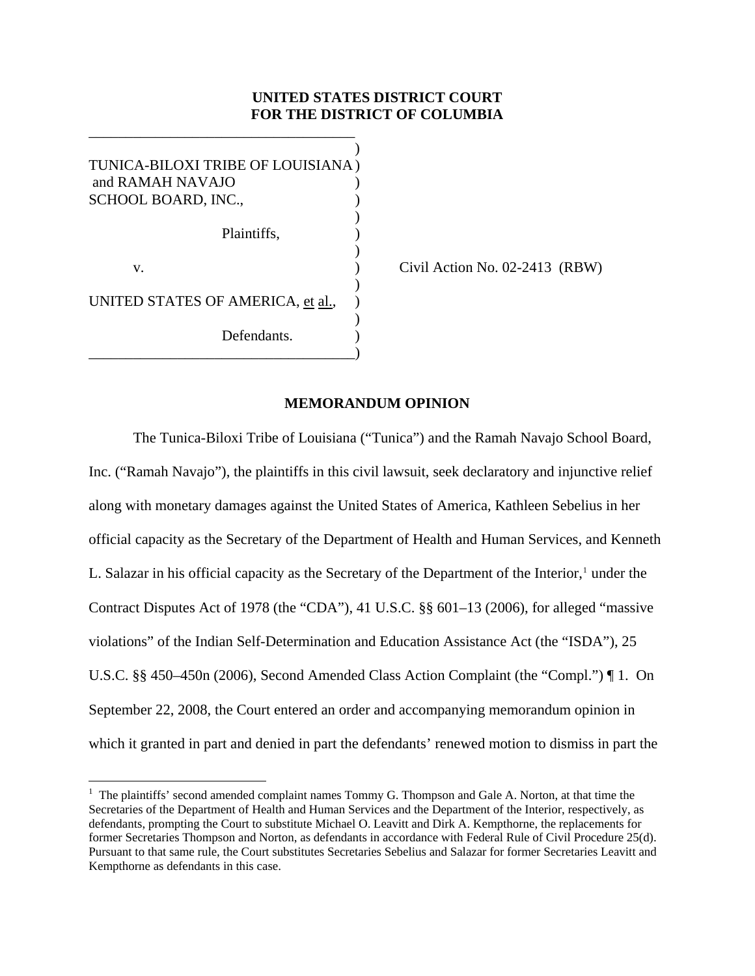## **UNITED STATES DISTRICT COURT FOR THE DISTRICT OF COLUMBIA**

 $)$ TUNICA-BILOXI TRIBE OF LOUISIANA ) and RAMAH NAVAJO SCHOOL BOARD, INC.,  $)$  Plaintiffs, )  $\overline{\phantom{a}}$ v. (a)  $\qquad \qquad$  (ivil Action No. 02-2413 (RBW)  $)$ UNITED STATES OF AMERICA, et al.,  $)$ Defendants. \_\_\_\_\_\_\_\_\_\_\_\_\_\_\_\_\_\_\_\_\_\_\_\_\_\_\_\_\_\_\_\_\_\_\_\_)

 $\overline{a}$ 

\_\_\_\_\_\_\_\_\_\_\_\_\_\_\_\_\_\_\_\_\_\_\_\_\_\_\_\_\_\_\_\_\_\_\_\_

## **MEMORANDUM OPINION**

The Tunica-Biloxi Tribe of Louisiana ("Tunica") and the Ramah Navajo School Board, Inc. ("Ramah Navajo"), the plaintiffs in this civil lawsuit, seek declaratory and injunctive relief along with monetary damages against the United States of America, Kathleen Sebelius in her official capacity as the Secretary of the Department of Health and Human Services, and Kenneth L. Salazar in his official capacity as the Secretary of the Department of the Interior, $<sup>1</sup>$  $<sup>1</sup>$  $<sup>1</sup>$  under the</sup> Contract Disputes Act of 1978 (the "CDA"), 41 U.S.C. §§ 601–13 (2006), for alleged "massive violations" of the Indian Self-Determination and Education Assistance Act (the "ISDA"), 25 U.S.C. §§ 450–450n (2006), Second Amended Class Action Complaint (the "Compl.") ¶ 1. On September 22, 2008, the Court entered an order and accompanying memorandum opinion in which it granted in part and denied in part the defendants' renewed motion to dismiss in part the

<span id="page-0-0"></span><sup>&</sup>lt;sup>1</sup> The plaintiffs' second amended complaint names Tommy G. Thompson and Gale A. Norton, at that time the Secretaries of the Department of Health and Human Services and the Department of the Interior, respectively, as defendants, prompting the Court to substitute Michael O. Leavitt and Dirk A. Kempthorne, the replacements for former Secretaries Thompson and Norton, as defendants in accordance with Federal Rule of Civil Procedure 25(d). Pursuant to that same rule, the Court substitutes Secretaries Sebelius and Salazar for former Secretaries Leavitt and Kempthorne as defendants in this case.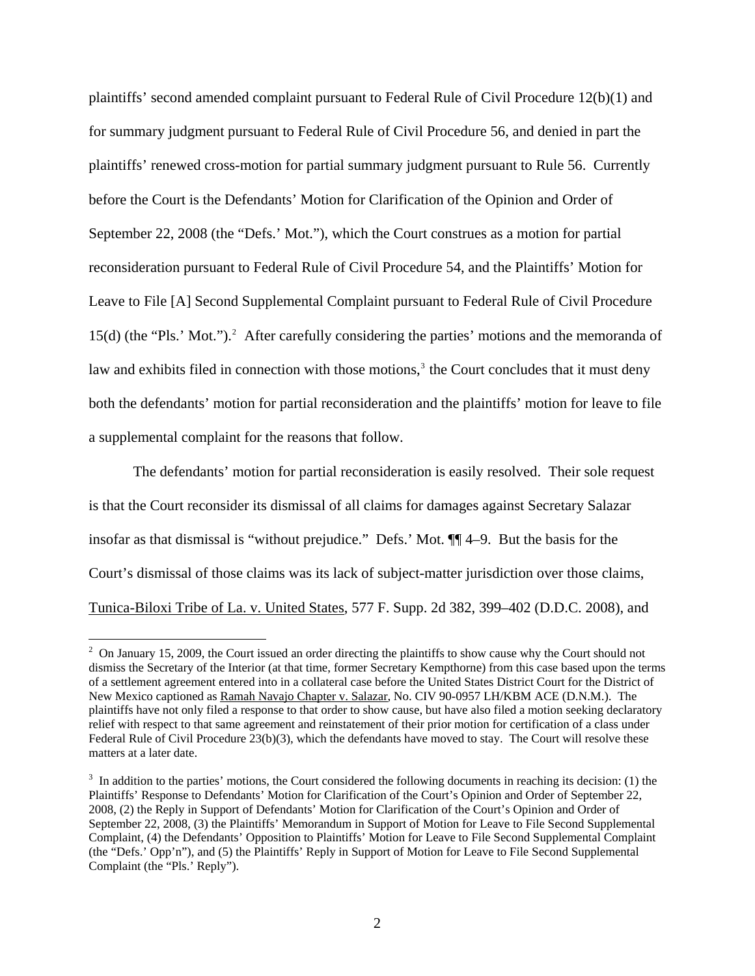plaintiffs' second amended complaint pursuant to Federal Rule of Civil Procedure 12(b)(1) and for summary judgment pursuant to Federal Rule of Civil Procedure 56, and denied in part the plaintiffs' renewed cross-motion for partial summary judgment pursuant to Rule 56. Currently before the Court is the Defendants' Motion for Clarification of the Opinion and Order of September 22, 2008 (the "Defs.' Mot."), which the Court construes as a motion for partial reconsideration pursuant to Federal Rule of Civil Procedure 54, and the Plaintiffs' Motion for Leave to File [A] Second Supplemental Complaint pursuant to Federal Rule of Civil Procedure 15(d) (the "Pls.' Mot.").<sup>2</sup> After carefully considering the parties' motions and the memoranda of law and exhibits filed in connection with those motions,<sup>[3](#page-1-1)</sup> the Court concludes that it must deny both the defendants' motion for partial reconsideration and the plaintiffs' motion for leave to file a supplemental complaint for the reasons that follow.

The defendants' motion for partial reconsideration is easily resolved. Their sole request is that the Court reconsider its dismissal of all claims for damages against Secretary Salazar insofar as that dismissal is "without prejudice." Defs.' Mot. ¶¶ 4–9. But the basis for the Court's dismissal of those claims was its lack of subject-matter jurisdiction over those claims, Tunica-Biloxi Tribe of La. v. United States, 577 F. Supp. 2d 382, 399–402 (D.D.C. 2008), and

 $\overline{a}$ 

<span id="page-1-0"></span> $2$  On January 15, 2009, the Court issued an order directing the plaintiffs to show cause why the Court should not dismiss the Secretary of the Interior (at that time, former Secretary Kempthorne) from this case based upon the terms of a settlement agreement entered into in a collateral case before the United States District Court for the District of New Mexico captioned as Ramah Navajo Chapter v. Salazar, No. CIV 90-0957 LH/KBM ACE (D.N.M.). The plaintiffs have not only filed a response to that order to show cause, but have also filed a motion seeking declaratory relief with respect to that same agreement and reinstatement of their prior motion for certification of a class under Federal Rule of Civil Procedure 23(b)(3), which the defendants have moved to stay. The Court will resolve these matters at a later date.

<span id="page-1-1"></span> $3\,$  In addition to the parties' motions, the Court considered the following documents in reaching its decision: (1) the Plaintiffs' Response to Defendants' Motion for Clarification of the Court's Opinion and Order of September 22, 2008, (2) the Reply in Support of Defendants' Motion for Clarification of the Court's Opinion and Order of September 22, 2008, (3) the Plaintiffs' Memorandum in Support of Motion for Leave to File Second Supplemental Complaint, (4) the Defendants' Opposition to Plaintiffs' Motion for Leave to File Second Supplemental Complaint (the "Defs.' Opp'n"), and (5) the Plaintiffs' Reply in Support of Motion for Leave to File Second Supplemental Complaint (the "Pls.' Reply").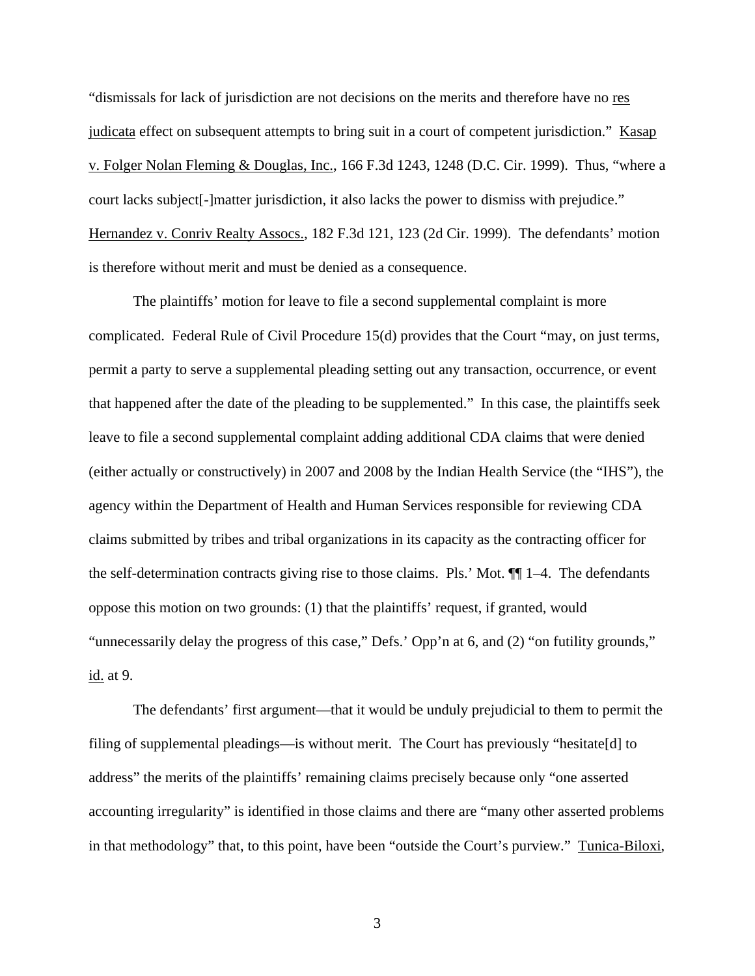"dismissals for lack of jurisdiction are not decisions on the merits and therefore have no res judicata effect on subsequent attempts to bring suit in a court of competent jurisdiction." Kasap v. Folger Nolan Fleming & Douglas, Inc., 166 F.3d 1243, 1248 (D.C. Cir. 1999). Thus, "where a court lacks subject[-]matter jurisdiction, it also lacks the power to dismiss with prejudice." Hernandez v. Conriv Realty Assocs., 182 F.3d 121, 123 (2d Cir. 1999). The defendants' motion is therefore without merit and must be denied as a consequence.

The plaintiffs' motion for leave to file a second supplemental complaint is more complicated. Federal Rule of Civil Procedure 15(d) provides that the Court "may, on just terms, permit a party to serve a supplemental pleading setting out any transaction, occurrence, or event that happened after the date of the pleading to be supplemented." In this case, the plaintiffs seek leave to file a second supplemental complaint adding additional CDA claims that were denied (either actually or constructively) in 2007 and 2008 by the Indian Health Service (the "IHS"), the agency within the Department of Health and Human Services responsible for reviewing CDA claims submitted by tribes and tribal organizations in its capacity as the contracting officer for the self-determination contracts giving rise to those claims. Pls.' Mot. ¶¶ 1–4. The defendants oppose this motion on two grounds: (1) that the plaintiffs' request, if granted, would "unnecessarily delay the progress of this case," Defs.' Opp'n at 6, and (2) "on futility grounds," id. at 9.

The defendants' first argument—that it would be unduly prejudicial to them to permit the filing of supplemental pleadings—is without merit. The Court has previously "hesitate[d] to address" the merits of the plaintiffs' remaining claims precisely because only "one asserted accounting irregularity" is identified in those claims and there are "many other asserted problems in that methodology" that, to this point, have been "outside the Court's purview." Tunica-Biloxi,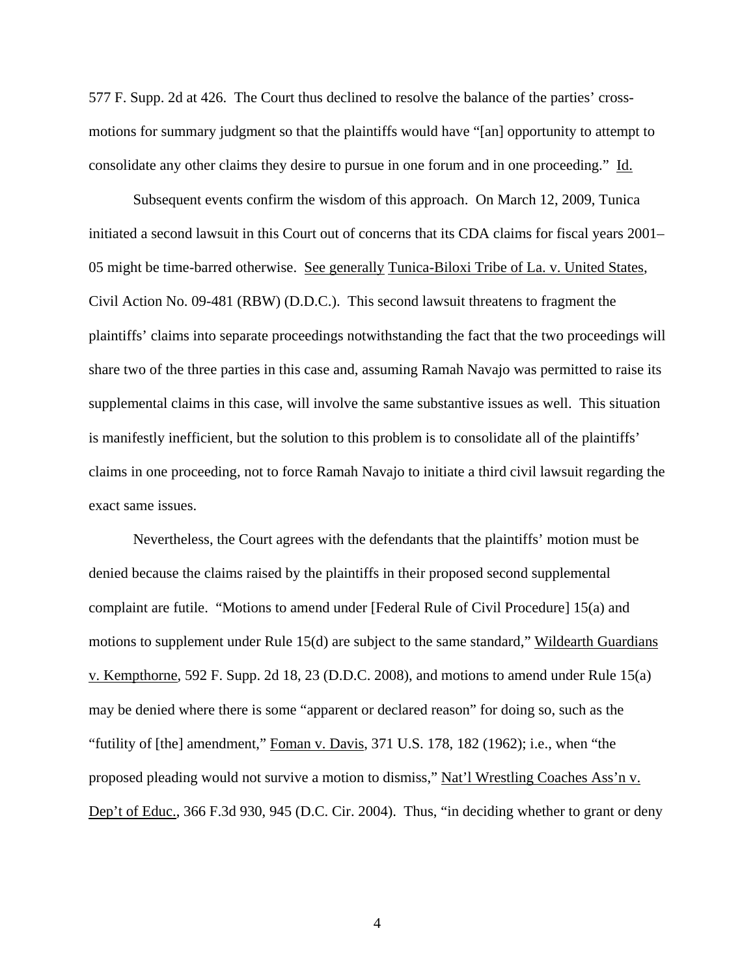577 F. Supp. 2d at 426. The Court thus declined to resolve the balance of the parties' crossmotions for summary judgment so that the plaintiffs would have "[an] opportunity to attempt to consolidate any other claims they desire to pursue in one forum and in one proceeding." Id.

Subsequent events confirm the wisdom of this approach. On March 12, 2009, Tunica initiated a second lawsuit in this Court out of concerns that its CDA claims for fiscal years 2001– 05 might be time-barred otherwise. See generally Tunica-Biloxi Tribe of La. v. United States, Civil Action No. 09-481 (RBW) (D.D.C.). This second lawsuit threatens to fragment the plaintiffs' claims into separate proceedings notwithstanding the fact that the two proceedings will share two of the three parties in this case and, assuming Ramah Navajo was permitted to raise its supplemental claims in this case, will involve the same substantive issues as well. This situation is manifestly inefficient, but the solution to this problem is to consolidate all of the plaintiffs' claims in one proceeding, not to force Ramah Navajo to initiate a third civil lawsuit regarding the exact same issues.

 Nevertheless, the Court agrees with the defendants that the plaintiffs' motion must be denied because the claims raised by the plaintiffs in their proposed second supplemental complaint are futile. "Motions to amend under [Federal Rule of Civil Procedure] 15(a) and motions to supplement under Rule 15(d) are subject to the same standard," Wildearth Guardians v. Kempthorne, 592 F. Supp. 2d 18, 23 (D.D.C. 2008), and motions to amend under Rule 15(a) may be denied where there is some "apparent or declared reason" for doing so, such as the "futility of [the] amendment," Foman v. Davis, 371 U.S. 178, 182 (1962); i.e., when "the proposed pleading would not survive a motion to dismiss," Nat'l Wrestling Coaches Ass'n v. Dep't of Educ., 366 F.3d 930, 945 (D.C. Cir. 2004). Thus, "in deciding whether to grant or deny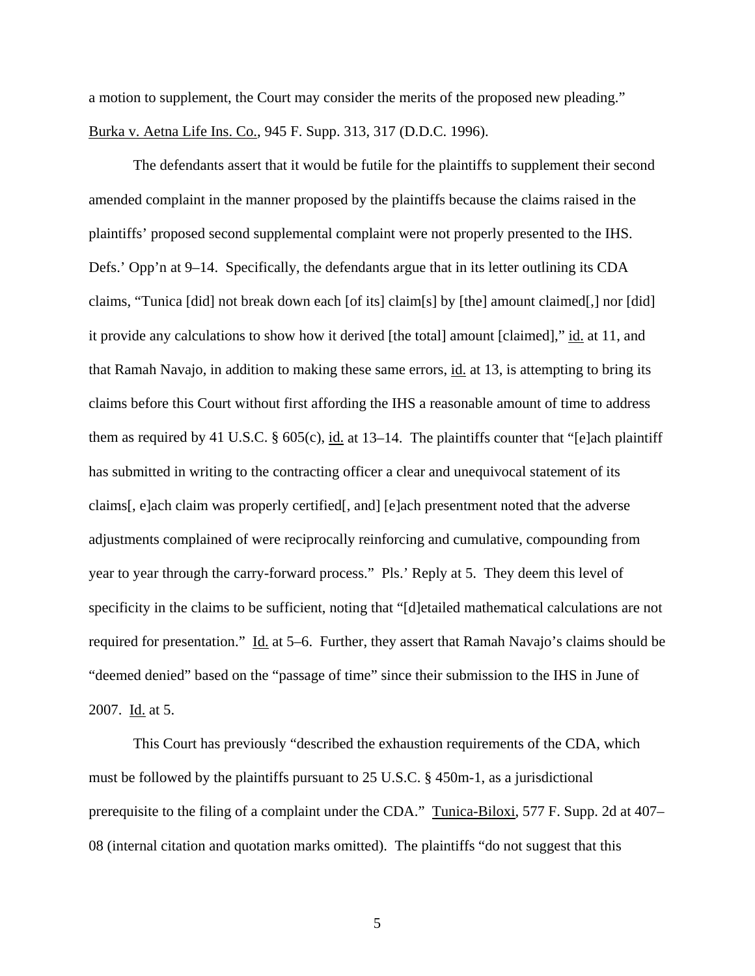a motion to supplement, the Court may consider the merits of the proposed new pleading." Burka v. Aetna Life Ins. Co., 945 F. Supp. 313, 317 (D.D.C. 1996).

 The defendants assert that it would be futile for the plaintiffs to supplement their second amended complaint in the manner proposed by the plaintiffs because the claims raised in the plaintiffs' proposed second supplemental complaint were not properly presented to the IHS. Defs.' Opp'n at 9–14. Specifically, the defendants argue that in its letter outlining its CDA claims, "Tunica [did] not break down each [of its] claim[s] by [the] amount claimed[,] nor [did] it provide any calculations to show how it derived [the total] amount [claimed]," id. at 11, and that Ramah Navajo, in addition to making these same errors, id. at 13, is attempting to bring its claims before this Court without first affording the IHS a reasonable amount of time to address them as required by 41 U.S.C.  $\S$  605(c), id. at 13–14. The plaintiffs counter that "[e]ach plaintiff has submitted in writing to the contracting officer a clear and unequivocal statement of its claims[, e]ach claim was properly certified[, and] [e]ach presentment noted that the adverse adjustments complained of were reciprocally reinforcing and cumulative, compounding from year to year through the carry-forward process." Pls.' Reply at 5. They deem this level of specificity in the claims to be sufficient, noting that "[d]etailed mathematical calculations are not required for presentation." Id. at 5–6. Further, they assert that Ramah Navajo's claims should be "deemed denied" based on the "passage of time" since their submission to the IHS in June of 2007. Id. at 5.

 This Court has previously "described the exhaustion requirements of the CDA, which must be followed by the plaintiffs pursuant to 25 U.S.C. § 450m-1, as a jurisdictional prerequisite to the filing of a complaint under the CDA." Tunica-Biloxi, 577 F. Supp. 2d at 407– 08 (internal citation and quotation marks omitted). The plaintiffs "do not suggest that this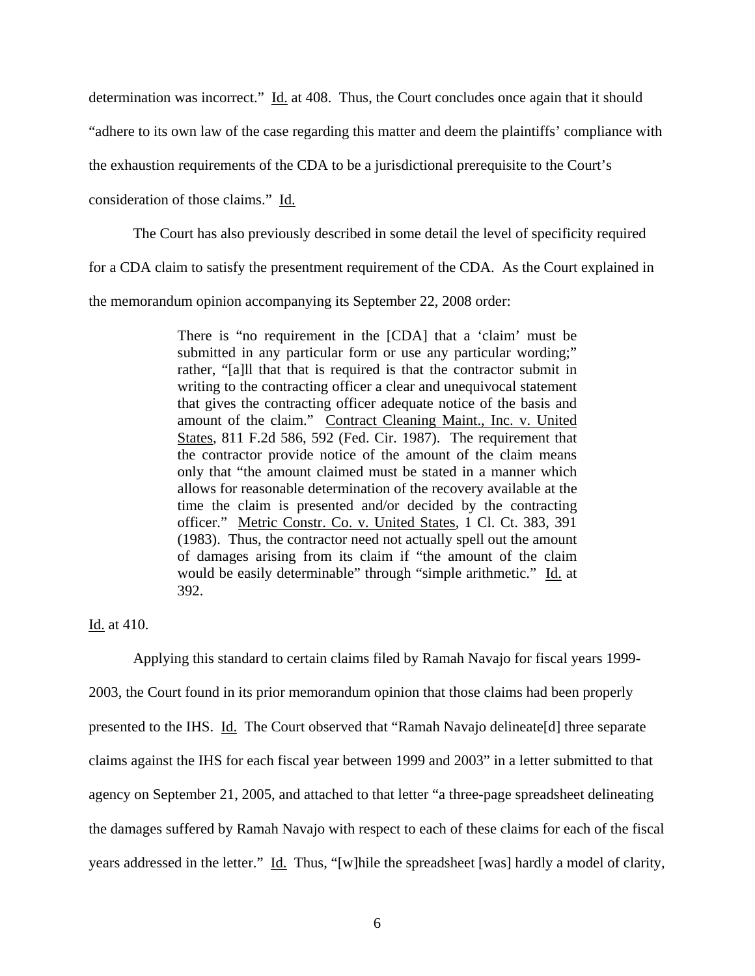determination was incorrect." Id. at 408. Thus, the Court concludes once again that it should

"adhere to its own law of the case regarding this matter and deem the plaintiffs' compliance with

the exhaustion requirements of the CDA to be a jurisdictional prerequisite to the Court's

consideration of those claims." Id.

The Court has also previously described in some detail the level of specificity required

for a CDA claim to satisfy the presentment requirement of the CDA. As the Court explained in

the memorandum opinion accompanying its September 22, 2008 order:

There is "no requirement in the [CDA] that a 'claim' must be submitted in any particular form or use any particular wording;" rather, "[a]ll that that is required is that the contractor submit in writing to the contracting officer a clear and unequivocal statement that gives the contracting officer adequate notice of the basis and amount of the claim." Contract Cleaning Maint., Inc. v. United States, 811 F.2d 586, 592 (Fed. Cir. 1987). The requirement that the contractor provide notice of the amount of the claim means only that "the amount claimed must be stated in a manner which allows for reasonable determination of the recovery available at the time the claim is presented and/or decided by the contracting officer." Metric Constr. Co. v. United States, 1 Cl. Ct. 383, 391 (1983). Thus, the contractor need not actually spell out the amount of damages arising from its claim if "the amount of the claim would be easily determinable" through "simple arithmetic." Id. at 392.

## Id. at 410.

 Applying this standard to certain claims filed by Ramah Navajo for fiscal years 1999- 2003, the Court found in its prior memorandum opinion that those claims had been properly presented to the IHS. Id. The Court observed that "Ramah Navajo delineate[d] three separate claims against the IHS for each fiscal year between 1999 and 2003" in a letter submitted to that agency on September 21, 2005, and attached to that letter "a three-page spreadsheet delineating the damages suffered by Ramah Navajo with respect to each of these claims for each of the fiscal years addressed in the letter." Id. Thus, "[w]hile the spreadsheet [was] hardly a model of clarity,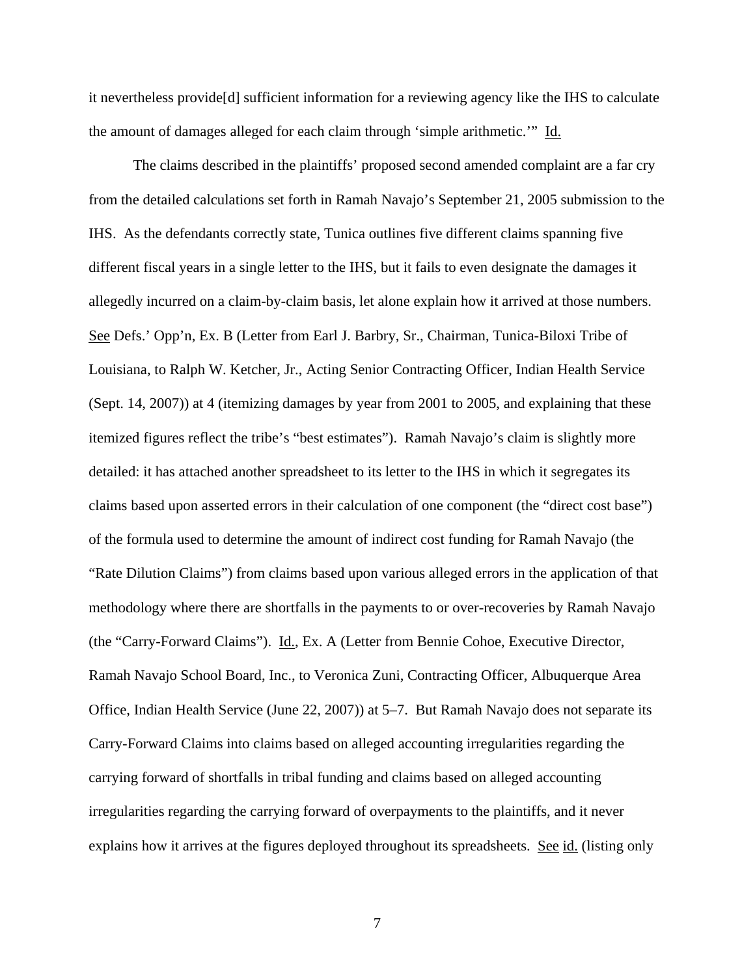it nevertheless provide[d] sufficient information for a reviewing agency like the IHS to calculate the amount of damages alleged for each claim through 'simple arithmetic.'" Id.

 The claims described in the plaintiffs' proposed second amended complaint are a far cry from the detailed calculations set forth in Ramah Navajo's September 21, 2005 submission to the IHS. As the defendants correctly state, Tunica outlines five different claims spanning five different fiscal years in a single letter to the IHS, but it fails to even designate the damages it allegedly incurred on a claim-by-claim basis, let alone explain how it arrived at those numbers. See Defs.' Opp'n, Ex. B (Letter from Earl J. Barbry, Sr., Chairman, Tunica-Biloxi Tribe of Louisiana, to Ralph W. Ketcher, Jr., Acting Senior Contracting Officer, Indian Health Service (Sept. 14, 2007)) at 4 (itemizing damages by year from 2001 to 2005, and explaining that these itemized figures reflect the tribe's "best estimates"). Ramah Navajo's claim is slightly more detailed: it has attached another spreadsheet to its letter to the IHS in which it segregates its claims based upon asserted errors in their calculation of one component (the "direct cost base") of the formula used to determine the amount of indirect cost funding for Ramah Navajo (the "Rate Dilution Claims") from claims based upon various alleged errors in the application of that methodology where there are shortfalls in the payments to or over-recoveries by Ramah Navajo (the "Carry-Forward Claims"). Id., Ex. A (Letter from Bennie Cohoe, Executive Director, Ramah Navajo School Board, Inc., to Veronica Zuni, Contracting Officer, Albuquerque Area Office, Indian Health Service (June 22, 2007)) at 5–7. But Ramah Navajo does not separate its Carry-Forward Claims into claims based on alleged accounting irregularities regarding the carrying forward of shortfalls in tribal funding and claims based on alleged accounting irregularities regarding the carrying forward of overpayments to the plaintiffs, and it never explains how it arrives at the figures deployed throughout its spreadsheets. See id. (listing only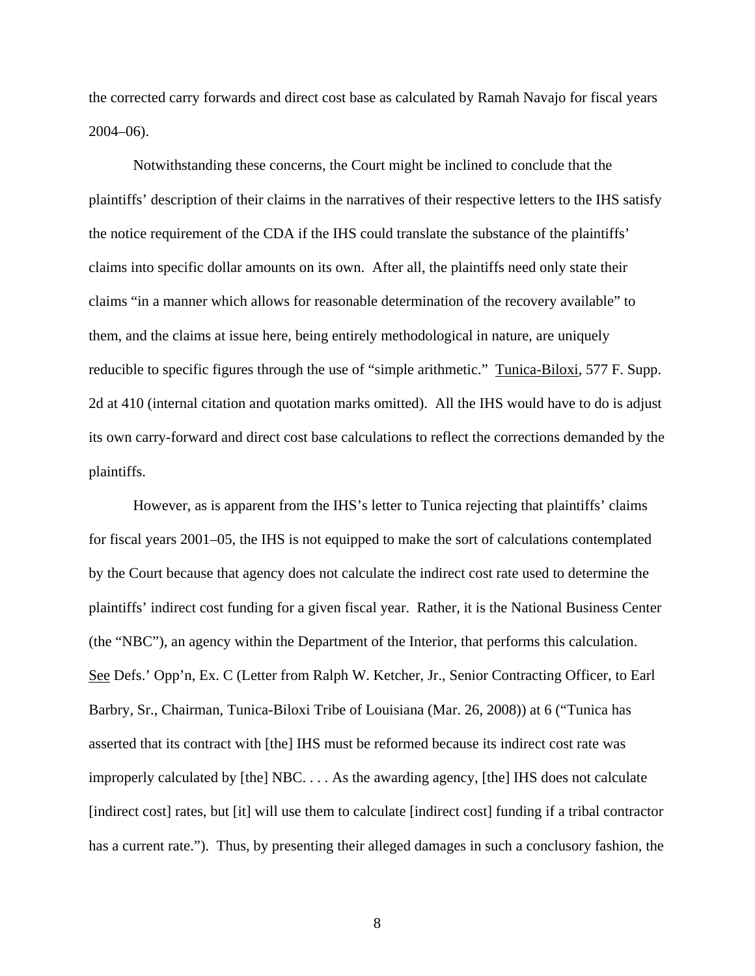the corrected carry forwards and direct cost base as calculated by Ramah Navajo for fiscal years 2004–06).

 Notwithstanding these concerns, the Court might be inclined to conclude that the plaintiffs' description of their claims in the narratives of their respective letters to the IHS satisfy the notice requirement of the CDA if the IHS could translate the substance of the plaintiffs' claims into specific dollar amounts on its own. After all, the plaintiffs need only state their claims "in a manner which allows for reasonable determination of the recovery available" to them, and the claims at issue here, being entirely methodological in nature, are uniquely reducible to specific figures through the use of "simple arithmetic." Tunica-Biloxi, 577 F. Supp. 2d at 410 (internal citation and quotation marks omitted). All the IHS would have to do is adjust its own carry-forward and direct cost base calculations to reflect the corrections demanded by the plaintiffs.

 However, as is apparent from the IHS's letter to Tunica rejecting that plaintiffs' claims for fiscal years 2001–05, the IHS is not equipped to make the sort of calculations contemplated by the Court because that agency does not calculate the indirect cost rate used to determine the plaintiffs' indirect cost funding for a given fiscal year. Rather, it is the National Business Center (the "NBC"), an agency within the Department of the Interior, that performs this calculation. See Defs.' Opp'n, Ex. C (Letter from Ralph W. Ketcher, Jr., Senior Contracting Officer, to Earl Barbry, Sr., Chairman, Tunica-Biloxi Tribe of Louisiana (Mar. 26, 2008)) at 6 ("Tunica has asserted that its contract with [the] IHS must be reformed because its indirect cost rate was improperly calculated by [the] NBC. . . . As the awarding agency, [the] IHS does not calculate [indirect cost] rates, but [it] will use them to calculate [indirect cost] funding if a tribal contractor has a current rate."). Thus, by presenting their alleged damages in such a conclusory fashion, the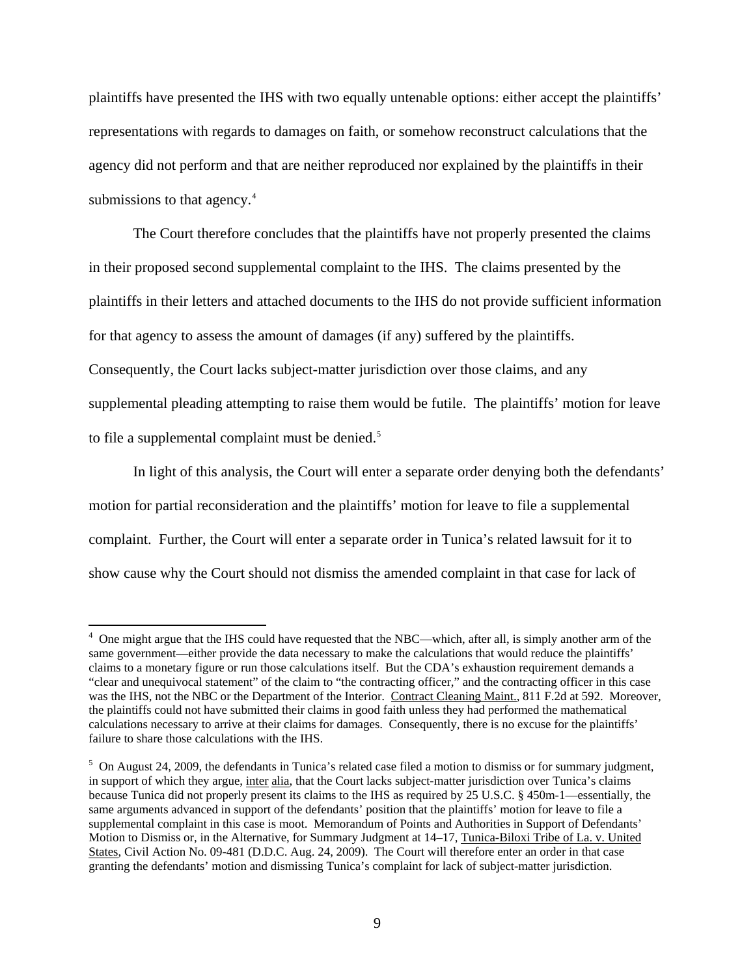plaintiffs have presented the IHS with two equally untenable options: either accept the plaintiffs' representations with regards to damages on faith, or somehow reconstruct calculations that the agency did not perform and that are neither reproduced nor explained by the plaintiffs in their submissions to that agency.<sup>[4](#page-8-0)</sup>

 The Court therefore concludes that the plaintiffs have not properly presented the claims in their proposed second supplemental complaint to the IHS. The claims presented by the plaintiffs in their letters and attached documents to the IHS do not provide sufficient information for that agency to assess the amount of damages (if any) suffered by the plaintiffs. Consequently, the Court lacks subject-matter jurisdiction over those claims, and any supplemental pleading attempting to raise them would be futile. The plaintiffs' motion for leave to file a supplemental complaint must be denied.<sup>[5](#page-8-1)</sup>

 In light of this analysis, the Court will enter a separate order denying both the defendants' motion for partial reconsideration and the plaintiffs' motion for leave to file a supplemental complaint. Further, the Court will enter a separate order in Tunica's related lawsuit for it to show cause why the Court should not dismiss the amended complaint in that case for lack of

<span id="page-8-0"></span><sup>&</sup>lt;sup>4</sup> One might argue that the IHS could have requested that the NBC—which, after all, is simply another arm of the same government—either provide the data necessary to make the calculations that would reduce the plaintiffs' claims to a monetary figure or run those calculations itself. But the CDA's exhaustion requirement demands a "clear and unequivocal statement" of the claim to "the contracting officer," and the contracting officer in this case was the IHS, not the NBC or the Department of the Interior. Contract Cleaning Maint., 811 F.2d at 592. Moreover, the plaintiffs could not have submitted their claims in good faith unless they had performed the mathematical calculations necessary to arrive at their claims for damages. Consequently, there is no excuse for the plaintiffs' failure to share those calculations with the IHS.

<span id="page-8-1"></span> $5$  On August 24, 2009, the defendants in Tunica's related case filed a motion to dismiss or for summary judgment, in support of which they argue, inter alia, that the Court lacks subject-matter jurisdiction over Tunica's claims because Tunica did not properly present its claims to the IHS as required by 25 U.S.C. § 450m-1—essentially, the same arguments advanced in support of the defendants' position that the plaintiffs' motion for leave to file a supplemental complaint in this case is moot. Memorandum of Points and Authorities in Support of Defendants' Motion to Dismiss or, in the Alternative, for Summary Judgment at 14–17, Tunica-Biloxi Tribe of La. v. United States, Civil Action No. 09-481 (D.D.C. Aug. 24, 2009). The Court will therefore enter an order in that case granting the defendants' motion and dismissing Tunica's complaint for lack of subject-matter jurisdiction.